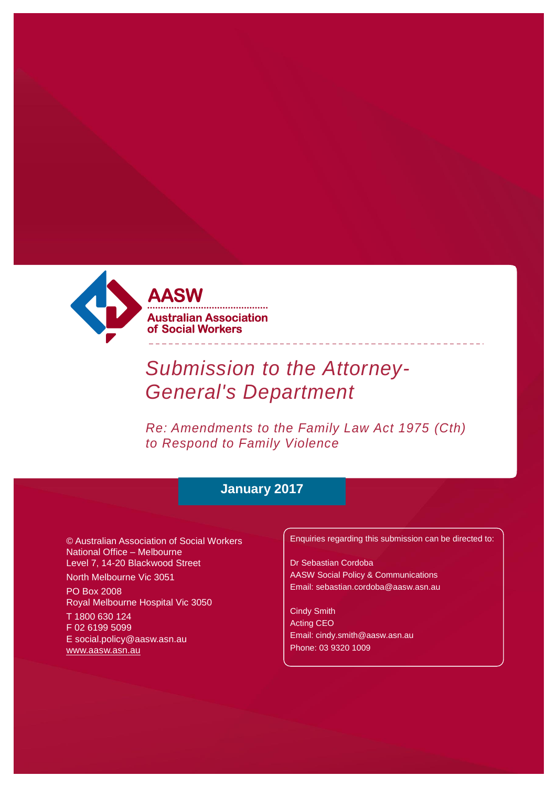

# *Submission to the Attorney-General's Department*

*Re: Amendments to the Family Law Act 1975 (Cth) to Respond to Family Violence*

## **January 2017**

© Australian Association of Social Workers National Office – Melbourne Level 7, 14-20 Blackwood Street

North Melbourne Vic 3051

PO Box 2008 Royal Melbourne Hospital Vic 3050

T 1800 630 124 F 02 6199 5099 [E social.policy@aasw.asn.au](mailto:advocacy@aasw.asn.au) [www.aasw.asn.au](http://www.aasw.asn.au/)

Enquiries regarding this submission can be directed to:

Dr Sebastian Cordoba AASW Social Policy & Communications [Email: sebastian.cordoba@aasw.asn.au](mailto:ceo@aasw.asn.au)

Cindy Smith Acting CEO [Email: cindy.smith@aasw.asn.au](mailto:stephen.brand@aasw.asn.au)  Phone: 03 9320 1009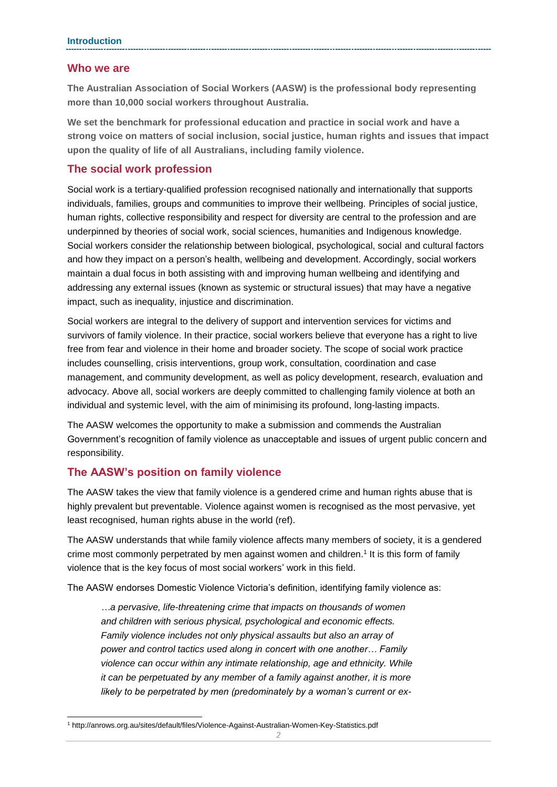#### **Who we are**

**The Australian Association of Social Workers (AASW) is the professional body representing more than 10,000 social workers throughout Australia.** 

**We set the benchmark for professional education and practice in social work and have a strong voice on matters of social inclusion, social justice, human rights and issues that impact upon the quality of life of all Australians, including family violence.**

#### **The social work profession**

Social work is a tertiary-qualified profession recognised nationally and internationally that supports individuals, families, groups and communities to improve their wellbeing. Principles of social justice, human rights, collective responsibility and respect for diversity are central to the profession and are underpinned by theories of social work, social sciences, humanities and Indigenous knowledge. Social workers consider the relationship between biological, psychological, social and cultural factors and how they impact on a person's health, wellbeing and development. Accordingly, social workers maintain a dual focus in both assisting with and improving human wellbeing and identifying and addressing any external issues (known as systemic or structural issues) that may have a negative impact, such as inequality, injustice and discrimination.

Social workers are integral to the delivery of support and intervention services for victims and survivors of family violence. In their practice, social workers believe that everyone has a right to live free from fear and violence in their home and broader society. The scope of social work practice includes counselling, crisis interventions, group work, consultation, coordination and case management, and community development, as well as policy development, research, evaluation and advocacy. Above all, social workers are deeply committed to challenging family violence at both an individual and systemic level, with the aim of minimising its profound, long-lasting impacts.

The AASW welcomes the opportunity to make a submission and commends the Australian Government's recognition of family violence as unacceptable and issues of urgent public concern and responsibility.

#### **The AASW's position on family violence**

-

The AASW takes the view that family violence is a gendered crime and human rights abuse that is highly prevalent but preventable. Violence against women is recognised as the most pervasive, yet least recognised, human rights abuse in the world (ref).

The AASW understands that while family violence affects many members of society, it is a gendered crime most commonly perpetrated by men against women and children. 1 It is this form of family violence that is the key focus of most social workers' work in this field.

The AASW endorses Domestic Violence Victoria's definition, identifying family violence as:

*…a pervasive, life-threatening crime that impacts on thousands of women and children with serious physical, psychological and economic effects. Family violence includes not only physical assaults but also an array of power and control tactics used along in concert with one another… Family violence can occur within any intimate relationship, age and ethnicity. While it can be perpetuated by any member of a family against another, it is more likely to be perpetrated by men (predominately by a woman's current or ex-*

<sup>1</sup> http://anrows.org.au/sites/default/files/Violence-Against-Australian-Women-Key-Statistics.pdf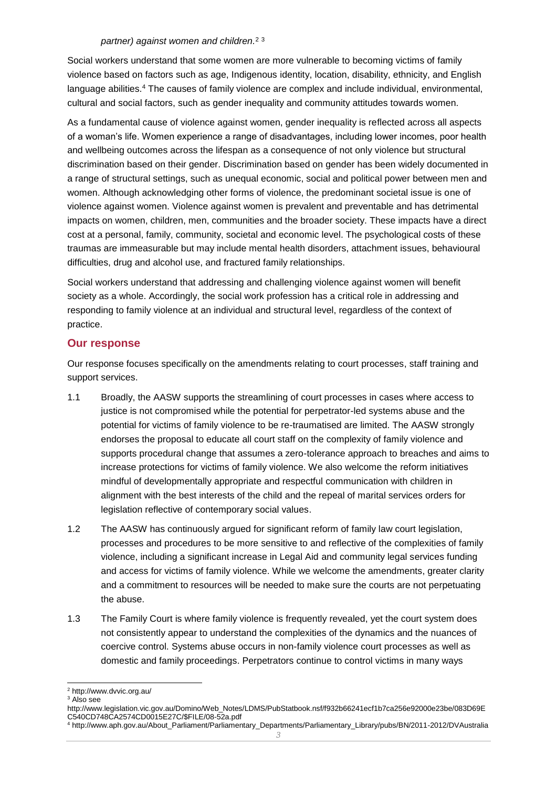#### *partner) against women and children.* 2 3

Social workers understand that some women are more vulnerable to becoming victims of family violence based on factors such as age, Indigenous identity, location, disability, ethnicity, and English language abilities.<sup>4</sup> The causes of family violence are complex and include individual, environmental, cultural and social factors, such as gender inequality and community attitudes towards women.

As a fundamental cause of violence against women, gender inequality is reflected across all aspects of a woman's life. Women experience a range of disadvantages, including lower incomes, poor health and wellbeing outcomes across the lifespan as a consequence of not only violence but structural discrimination based on their gender. Discrimination based on gender has been widely documented in a range of structural settings, such as unequal economic, social and political power between men and women. Although acknowledging other forms of violence, the predominant societal issue is one of violence against women. Violence against women is prevalent and preventable and has detrimental impacts on women, children, men, communities and the broader society. These impacts have a direct cost at a personal, family, community, societal and economic level. The psychological costs of these traumas are immeasurable but may include mental health disorders, attachment issues, behavioural difficulties, drug and alcohol use, and fractured family relationships.

Social workers understand that addressing and challenging violence against women will benefit society as a whole. Accordingly, the social work profession has a critical role in addressing and responding to family violence at an individual and structural level, regardless of the context of practice.

### **Our response**

Our response focuses specifically on the amendments relating to court processes, staff training and support services.

- 1.1 Broadly, the AASW supports the streamlining of court processes in cases where access to justice is not compromised while the potential for perpetrator-led systems abuse and the potential for victims of family violence to be re-traumatised are limited. The AASW strongly endorses the proposal to educate all court staff on the complexity of family violence and supports procedural change that assumes a zero-tolerance approach to breaches and aims to increase protections for victims of family violence. We also welcome the reform initiatives mindful of developmentally appropriate and respectful communication with children in alignment with the best interests of the child and the repeal of marital services orders for legislation reflective of contemporary social values.
- 1.2 The AASW has continuously argued for significant reform of family law court legislation, processes and procedures to be more sensitive to and reflective of the complexities of family violence, including a significant increase in Legal Aid and community legal services funding and access for victims of family violence. While we welcome the amendments, greater clarity and a commitment to resources will be needed to make sure the courts are not perpetuating the abuse.
- 1.3 The Family Court is where family violence is frequently revealed, yet the court system does not consistently appear to understand the complexities of the dynamics and the nuances of coercive control. Systems abuse occurs in non-family violence court processes as well as domestic and family proceedings. Perpetrators continue to control victims in many ways

<sup>1</sup> <sup>2</sup> http://www.dvvic.org.au/

<sup>&</sup>lt;sup>3</sup> Also see

http://www.legislation.vic.gov.au/Domino/Web\_Notes/LDMS/PubStatbook.nsf/f932b66241ecf1b7ca256e92000e23be/083D69E C540CD748CA2574CD0015E27C/\$FILE/08-52a.pdf

<sup>4</sup> http://www.aph.gov.au/About\_Parliament/Parliamentary\_Departments/Parliamentary\_Library/pubs/BN/2011-2012/DVAustralia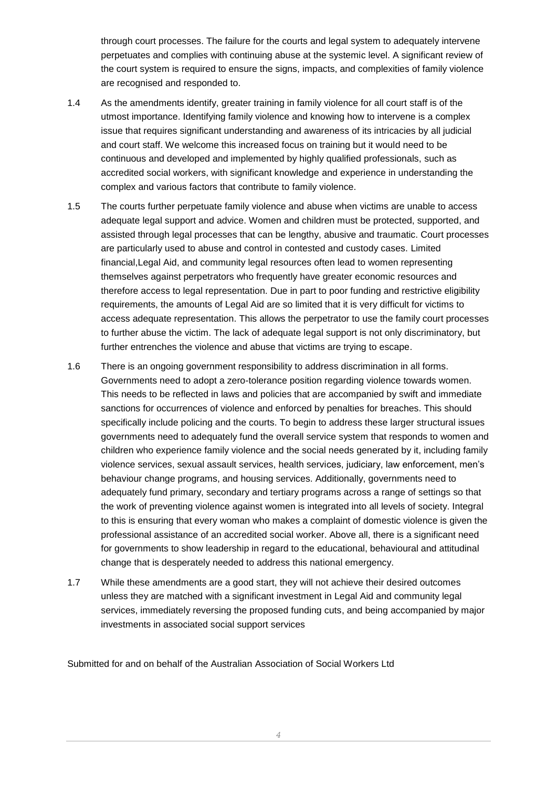through court processes. The failure for the courts and legal system to adequately intervene perpetuates and complies with continuing abuse at the systemic level. A significant review of the court system is required to ensure the signs, impacts, and complexities of family violence are recognised and responded to.

- 1.4 As the amendments identify, greater training in family violence for all court staff is of the utmost importance. Identifying family violence and knowing how to intervene is a complex issue that requires significant understanding and awareness of its intricacies by all judicial and court staff. We welcome this increased focus on training but it would need to be continuous and developed and implemented by highly qualified professionals, such as accredited social workers, with significant knowledge and experience in understanding the complex and various factors that contribute to family violence.
- 1.5 The courts further perpetuate family violence and abuse when victims are unable to access adequate legal support and advice. Women and children must be protected, supported, and assisted through legal processes that can be lengthy, abusive and traumatic. Court processes are particularly used to abuse and control in contested and custody cases. Limited financial,Legal Aid, and community legal resources often lead to women representing themselves against perpetrators who frequently have greater economic resources and therefore access to legal representation. Due in part to poor funding and restrictive eligibility requirements, the amounts of Legal Aid are so limited that it is very difficult for victims to access adequate representation. This allows the perpetrator to use the family court processes to further abuse the victim. The lack of adequate legal support is not only discriminatory, but further entrenches the violence and abuse that victims are trying to escape.
- 1.6 There is an ongoing government responsibility to address discrimination in all forms. Governments need to adopt a zero-tolerance position regarding violence towards women. This needs to be reflected in laws and policies that are accompanied by swift and immediate sanctions for occurrences of violence and enforced by penalties for breaches. This should specifically include policing and the courts. To begin to address these larger structural issues governments need to adequately fund the overall service system that responds to women and children who experience family violence and the social needs generated by it, including family violence services, sexual assault services, health services, judiciary, law enforcement, men's behaviour change programs, and housing services. Additionally, governments need to adequately fund primary, secondary and tertiary programs across a range of settings so that the work of preventing violence against women is integrated into all levels of society. Integral to this is ensuring that every woman who makes a complaint of domestic violence is given the professional assistance of an accredited social worker. Above all, there is a significant need for governments to show leadership in regard to the educational, behavioural and attitudinal change that is desperately needed to address this national emergency.
- 1.7 While these amendments are a good start, they will not achieve their desired outcomes unless they are matched with a significant investment in Legal Aid and community legal services, immediately reversing the proposed funding cuts, and being accompanied by major investments in associated social support services

Submitted for and on behalf of the Australian Association of Social Workers Ltd